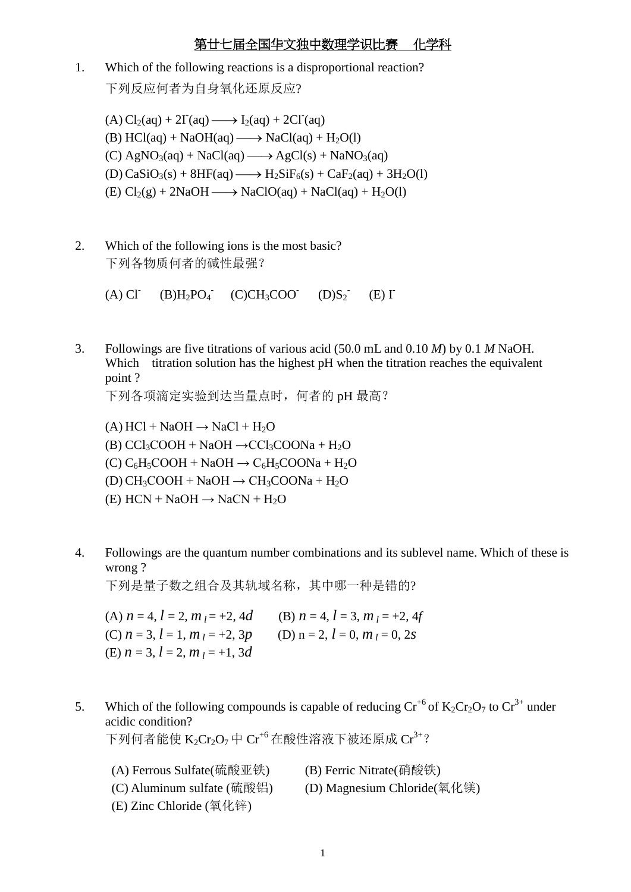1. Which of the following reactions is a disproportional reaction? 下列反应何者为自身氧化还原反应?

 $(A) Cl<sub>2</sub>(aq) + 2\Gamma(aq) \longrightarrow I<sub>2</sub>(aq) + 2Cl<sup>-</sup>(aq)$ (B)  $HCl(aq) + NaOH(aq) \longrightarrow NaCl(aq) + H<sub>2</sub>O(l)$  $(C)$  AgNO<sub>3</sub>(aq) + NaCl(aq)  $\longrightarrow$  AgCl(s) + NaNO<sub>3</sub>(aq) (D)  $CaSiO<sub>3</sub>(s) + 8HF(aq) \longrightarrow H<sub>2</sub>SiF<sub>6</sub>(s) + CaF<sub>2</sub>(aq) + 3H<sub>2</sub>O(l)$ (E)  $Cl_2(g) + 2NaOH \longrightarrow NaClO(aq) + NaCl(aq) + H_2O(l)$ 

2. Which of the following ions is the most basic? 下列各物质何者的碱性最强?

> $(A)$  Cl<sup>-</sup>  $(B)H_2PO_4^{-}$  $(C)CH<sub>3</sub>COO$ <sup>-</sup> $(D)S<sub>2</sub>$ <sup>-</sup>  $(E)$   $\Gamma$

3. Followings are five titrations of various acid (50.0 mL and 0.10 *M*) by 0.1 *M* NaOH. Which titration solution has the highest pH when the titration reaches the equivalent point ?

下列各项滴定实验到达当量点时,何者的 pH 最高?

 $(A)$  HCl + NaOH  $\rightarrow$  NaCl + H<sub>2</sub>O (B)  $CCl_3COOH + NaOH \rightarrow CCl_3COONa + H_2O$  $(C)$  C<sub>6</sub>H<sub>5</sub>COOH + NaOH  $\rightarrow$  C<sub>6</sub>H<sub>5</sub>COONa + H<sub>2</sub>O  $(D) CH<sub>3</sub>COOH + NaOH \rightarrow CH<sub>3</sub>COONa + H<sub>2</sub>O$ (E)  $HCN + NaOH \rightarrow NaCN + H<sub>2</sub>O$ 

4. Followings are the quantum number combinations and its sublevel name. Which of these is wrong ?

下列是量子数之组合及其轨域名称,其中哪一种是错的?

(A)  $n = 4$ ,  $l = 2$ ,  $m_l = +2$ , 4d (B)  $n = 4$ ,  $l = 3$ ,  $m_l = +2$ , 4f (C)  $n = 3$ ,  $l = 1$ ,  $m_l = +2$ ,  $3p$  (D)  $n = 2$ ,  $l = 0$ ,  $m_l = 0$ ,  $2s$  $(E)$  *n* = 3, *l* = 2, *m*  $i = +1$ , 3*d* 

5. Which of the following compounds is capable of reducing  $Cr^{+6}$  of  $K_2Cr_2O_7$  to  $Cr^{3+}$  under acidic condition? 下列何者能使  $K_2Cr_2O_7$ 中 $Cr^{46}$ 在酸性溶液下被还原成 $Cr^{3+2}$ 

| (A) Ferrous Sulfate(硫酸亚铁)                  | (B) Ferric Nitrate(硝酸铁)     |
|--------------------------------------------|-----------------------------|
| (C) Aluminum sulfate (硫酸铝)                 | (D) Magnesium Chloride(氧化镁) |
| (E) Zinc Chloride $(\sphericalangle$ (氧化锌) |                             |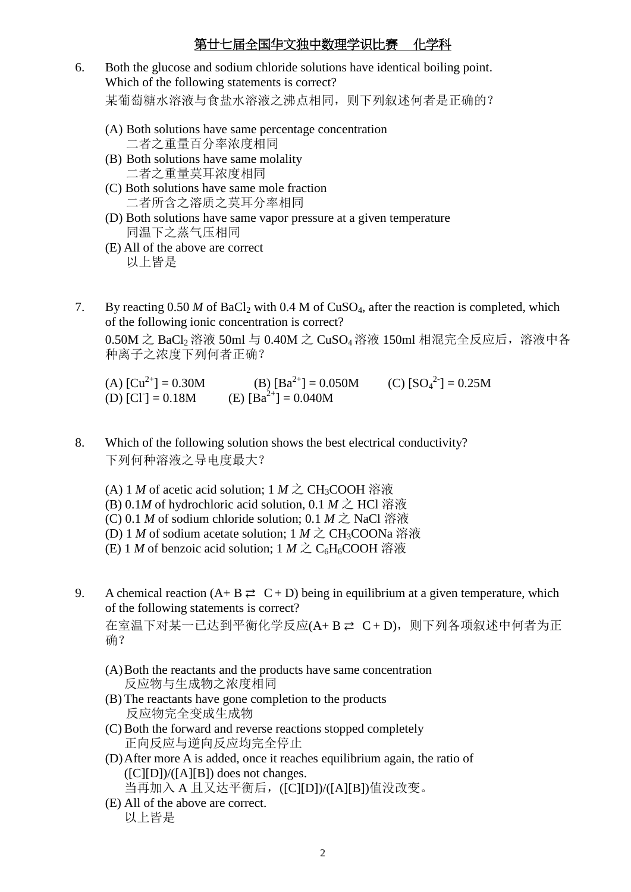- 6. Both the glucose and sodium chloride solutions have identical boiling point. Which of the following statements is correct? 某葡萄糖水溶液与食盐水溶液之沸点相同,则下列叙述何者是正确的?
	- (A) Both solutions have same percentage concentration 二者之重量百分率浓度相同
	- (B) Both solutions have same molality 二者之重量莫耳浓度相同
	- (C) Both solutions have same mole fraction 二者所含之溶质之莫耳分率相同
	- (D) Both solutions have same vapor pressure at a given temperature 同温下之蒸气压相同
	- (E) All of the above are correct 以上皆是
- 7. By reacting  $0.50 M$  of BaCl<sub>2</sub> with  $0.4 M$  of CuSO<sub>4</sub>, after the reaction is completed, which of the following ionic concentration is correct? 0.50M 之 BaCl<sup>2</sup> 溶液 50ml 与 0.40M 之 CuSO4溶液 150ml 相混完全反应后,溶液中各 种离子之浓度下列何者正确?

(A)  $\text{[Cu}^{2+}\text{]} = 0.30 \text{M}$  (B)  $\text{[Ba}^{2+}\text{]} = 0.050 \text{M}$  (C)  $\text{[SO}_4^{2-}\text{]} = 0.25 \text{M}$ (D)  $[CI^-] = 0.18M$ (E)  $[Ba^{2+}] = 0.040M$ 

- 8. Which of the following solution shows the best electrical conductivity? 下列何种溶液之导电度最大?
	- (A) 1 *M* of acetic acid solution; 1 *M* 之 CH<sub>3</sub>COOH 溶液
	- (B) 0.1*M* of hydrochloric acid solution, 0.1 *M* 之 HCl 溶液
	- (C) 0.1 *M* of sodium chloride solution; 0.1 *M* 之 NaCl 溶液
	- (D) 1 *M* of sodium acetate solution;  $1 M \gtrsim CH_3COONa$  溶液
	- (E) 1 *M* of benzoic acid solution; 1 *M* 之 C<sub>6</sub>H<sub>6</sub>COOH 溶液
- 9. A chemical reaction  $(A + B \rightleftarrows C + D)$  being in equilibrium at a given temperature, which of the following statements is correct? 在室温下对某一已达到平衡化学反应(A+B ≥ C+D), 则下列各项叙述中何者为正 确?
	- (A)Both the reactants and the products have same concentration 反应物与生成物之浓度相同
	- (B) The reactants have gone completion to the products 反应物完全变成生成物
	- (C)Both the forward and reverse reactions stopped completely 正向反应与逆向反应均完全停止
	- (D)After more A is added, once it reaches equilibrium again, the ratio of  $([C][D])/([A][B])$  does not changes. 当再加入 A 且又达平衡后, ([C][D])/([A][B])值没改变。
	- (E) All of the above are correct. 以上皆是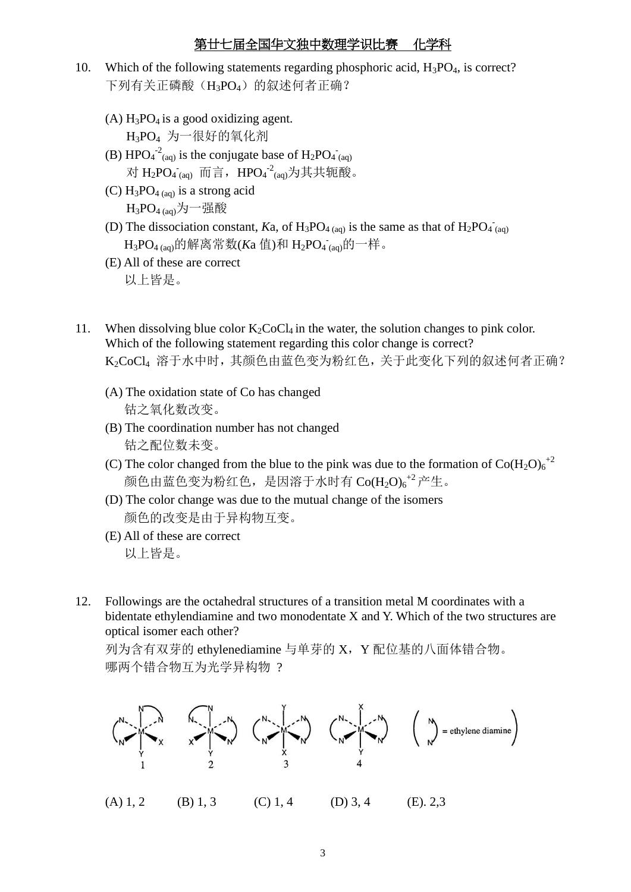- 10. Which of the following statements regarding phosphoric acid,  $H_3PO_4$ , is correct? 下列有关正磷酸(H3PO4)的叙述何者正确?
	- (A)  $H_3PO_4$  is a good oxidizing agent. H3PO<sup>4</sup> 为一很好的氧化剂
	- (B)  $HPO_4^{-2}$ <sub>(aq)</sub> is the conjugate base of  $H_2PO_4^-$ <sub>(aq)</sub> 对 H<sub>2</sub>PO<sub>4</sub><sup>-</sup><sub>(aq)</sub> 而言,HPO<sub>4</sub><sup>-2</sup><sub>(aq)</sub>为其共轭酸。
	- (C)  $H_3PO_{4(aq)}$  is a strong acid  $H_3PO_{4(aq)}$ 为一强酸
	- (D) The dissociation constant, *K*a, of  $H_3PO_{4(aq)}$  is the same as that of  $H_2PO_{4(aq)}$ H<sub>3</sub>PO<sub>4 (aq)</sub>的解离常数(Ka 值)和 H<sub>2</sub>PO<sub>4 (aq)</sub>的一样。
	- (E) All of these are correct 以上皆是。
- 11. When dissolving blue color  $K_2CoCl_4$  in the water, the solution changes to pink color. Which of the following statement regarding this color change is correct? K2CoCl<sup>4</sup> 溶于水中时,其颜色由蓝色变为粉红色,关于此变化下列的叙述何者正确?
	- (A) The oxidation state of Co has changed 钴之氧化数改变。
	- (B) The coordination number has not changed 钴之配位数未变。
	- (C) The color changed from the blue to the pink was due to the formation of  $Co(H_2O)_6^{+2}$ 颜色由蓝色变为粉红色,是因溶于水时有 $\mathrm{Co(H_2O)_6}^{+2}$ 产生。
	- (D) The color change was due to the mutual change of the isomers 颜色的改变是由于异构物互变。
	- (E) All of these are correct 以上皆是。
- 12. Followings are the octahedral structures of a transition metal M coordinates with a bidentate ethylendiamine and two monodentate X and Y. Which of the two structures are optical isomer each other?

列为含有双芽的 ethylenediamine 与单芽的 X, Y 配位基的八面体错合物。 哪两个错合物互为光学异构物 ?

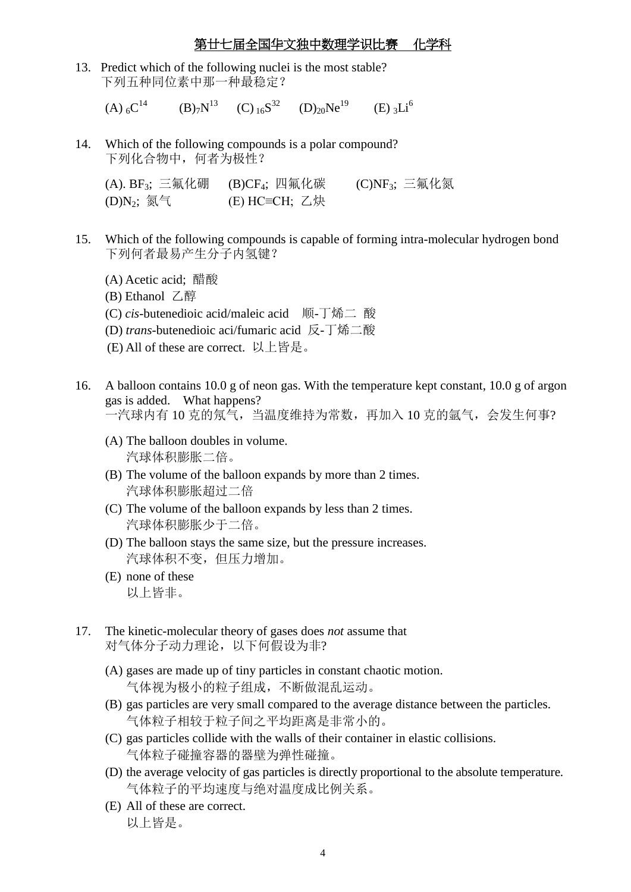13. Predict which of the following nuclei is the most stable? 下列五种同位素中那一种最稳定?

 $(A)$ <sub>6</sub> $C^{14}$  $(B)_{7}N^{13}$   $(C)_{16}S^{32}$   $(D)_{20}Ne^{19}$  $(E)$  3Li<sup>6</sup>

14. Which of the following compounds is a polar compound? 下列化合物中,何者为极性?

(A).  $BF_3$ ; 三氟化硼 (B)CF<sub>4</sub>; 四氟化碳 (C)NF<sub>3</sub>; 三氟化氮  $(D)N_2$ ; 氮气  $(E)$  HC≡CH; 乙炔

- 15. Which of the following compounds is capable of forming intra-molecular hydrogen bond 下列何者最易产生分子内氢键?
	- (A) Acetic acid; 醋酸
	- (B) Ethanol 乙醇
	- (C) *cis-*butenedioic acid/maleic acid 顺-丁烯二 酸
	- (D) *trans*-butenedioic aci/fumaric acid 反-丁烯二酸
	- (E) All of these are correct. 以上皆是。
- 16. A balloon contains 10.0 g of neon gas. With the temperature kept constant, 10.0 g of argon gas is added. What happens? 一汽球内有 10 克的氖气,当温度维持为常数,再加入 10 克的氩气,会发生何事?
	- (A) The balloon doubles in volume. 汽球体积膨胀二倍。
	- (B) The volume of the balloon expands by more than 2 times. 汽球体积膨胀超过二倍
	- (C) The volume of the balloon expands by less than 2 times. 汽球体积膨胀少于二倍。
	- (D) The balloon stays the same size, but the pressure increases. 汽球体积不变,但压力增加。
	- (E) none of these 以上皆非。
- 17. The kinetic-molecular theory of gases does *not* assume that 对气体分子动力理论,以下何假设为非?
	- (A) gases are made up of tiny particles in constant chaotic motion. 气体视为极小的粒子组成,不断做混乱运动。
	- (B) gas particles are very small compared to the average distance between the particles. 气体粒子相较于粒子间之平均距离是非常小的。
	- (C) gas particles collide with the walls of their container in elastic collisions. 气体粒子碰撞容器的器壁为弹性碰撞。
	- (D) the average velocity of gas particles is directly proportional to the absolute temperature. 气体粒子的平均速度与绝对温度成比例关系。
	- (E) All of these are correct. 以上皆是。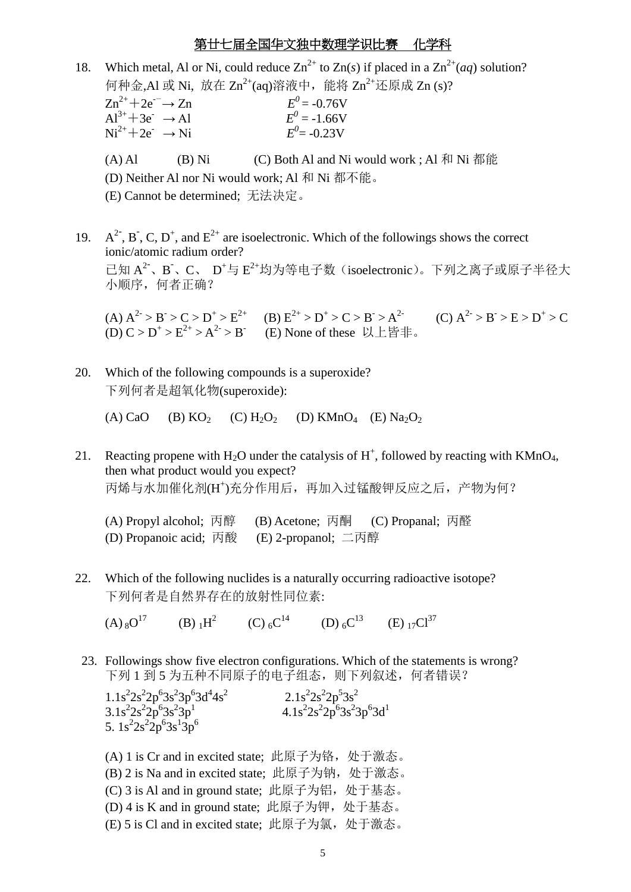- 18. Which metal, Al or Ni, could reduce  $Zn^{2+}$  to  $Zn(s)$  if placed in a  $Zn^{2+}(aa)$  solution? 何种金,Al 或 Ni, 放在 Zn<sup>2+</sup>(aq)溶液中, 能将 Zn<sup>2+</sup>还原成 Zn (s)?  $\text{Zn}^{2+} + 2\text{e}^{-} \rightarrow \text{Zn}$  $^{0}$  = -0.76V  $Al^{3+}+3e^- \rightarrow Al$  $^{0}$  = -1.66V  $Ni^{2+}+2e^- \rightarrow Ni$  $^{0}$  = -0.23V (A) Al (B) Ni (C) Both Al and Ni would work ; Al 和 Ni 都能 (D) Neither Al nor Ni would work; Al 和 Ni 都不能。 (E) Cannot be determined; 无法决定。
- 19.  $A^{2}$ , B, C, D<sup>+</sup>, and E<sup>2+</sup> are isoelectronic. Which of the followings shows the correct ionic/atomic radium order? 己知 A<sup>2-</sup>、B、C、 D<sup>+</sup>与 E<sup>2+</sup>均为等电子数(isoelectronic)。下列之离子或原子半径大 小顺序,何者正确?

(A)  $A^2 > B > C > D^+ > E^{2+}$  (B)  $E^{2+} > D^+ > C > B > A^{2-}$  (C)  $A^2 > B > E > D^+ > C$ (D)  $C > D^+ > E^{2+} > A^{2-} > B$  (E) None of these 以上皆非。

20. Which of the following compounds is a superoxide? 下列何者是超氧化物(superoxide):

(A) CaO (B) KO<sub>2</sub> (C) H<sub>2</sub>O<sub>2</sub> (D) KMnO<sub>4</sub> (E) Na<sub>2</sub>O<sub>2</sub>

- 21. Reacting propene with  $H_2O$  under the catalysis of  $H^+$ , followed by reacting with KMnO<sub>4</sub>, then what product would you expect? 丙烯与水加催化剂(H<sup>+</sup> )充分作用后,再加入过锰酸钾反应之后,产物为何?
	- (A) Propyl alcohol; 丙醇 (B) Acetone; 丙酮 (C) Propanal; 丙醛 (D) Propanoic acid; 丙酸 (E) 2-propanol; 二丙醇
- 22. Which of the following nuclides is a naturally occurring radioactive isotope? 下列何者是自然界存在的放射性同位素:

 $(A)_{8}O^{17}$ (B)  $1H^2$  (C)  $6C^{14}$  (D)  $6C^{13}$  (E)  $17C^{137}$ 

23. Followings show five electron configurations. Which of the statements is wrong? 下列1到5为五种不同原子的电子组态,则下列叙述,何者错误?

 $1.1s<sup>2</sup>2s<sup>2</sup>2p<sup>6</sup>3s<sup>2</sup>3p<sup>6</sup>3d<sup>4</sup>4s<sup>2</sup>$  2.1s<sup>2</sup>  $2s^22p^53s^2$  $3.1s<sup>2</sup>2s<sup>2</sup>2p<sup>6</sup>3s<sup>2</sup>3p<sup>1</sup>$  $4.1s^{2}2s^{2}2p^{6}3s^{2}3p^{6}3d^{1}$ 5.  $1s^22s^22p^63s^13p^6$ 

(A) 1 is Cr and in excited state; 此原子为铬, 处于激态。 (B) 2 is Na and in excited state; 此原子为钠, 处于激态。 (C) 3 is Al and in ground state; 此原子为铝, 处于基态。 (D)  $4$  is K and in ground state; 此原子为钾, 处于基态。 (E) 5 is Cl and in excited state; 此原子为氯,处于激态。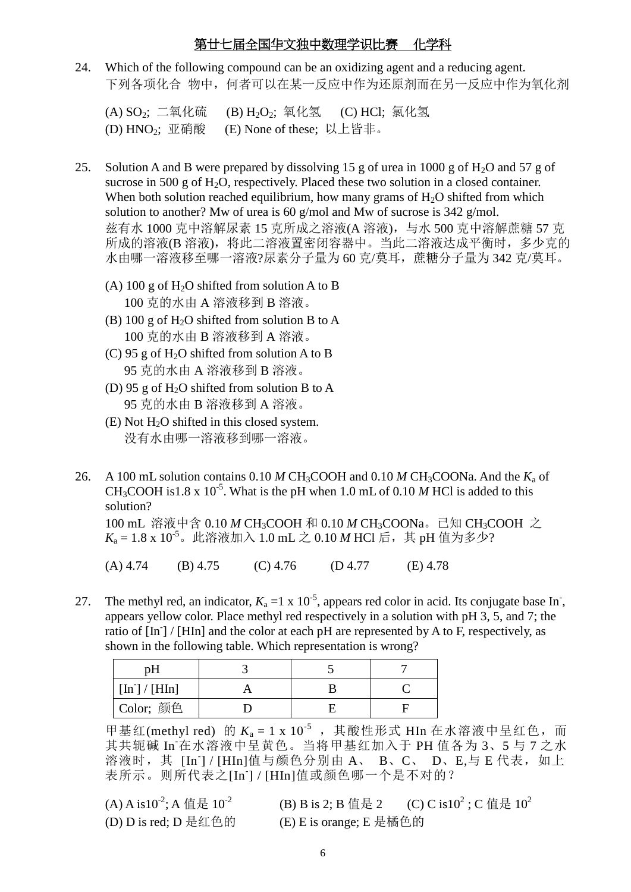24. Which of the following compound can be an oxidizing agent and a reducing agent. 下列各项化合 物中, 何者可以在某一反应中作为还原剂而在另一反应中作为氧化剂

(A) SO<sub>2</sub>: 二氧化硫 (B) H<sub>2</sub>O<sub>2</sub>; 氧化氢 (C) HCl; 氯化氢 (D) HNO2; 亚硝酸 (E) None of these; 以上皆非。

- 25. Solution A and B were prepared by dissolving 15 g of urea in 1000 g of  $H_2O$  and 57 g of sucrose in 500 g of  $H_2O$ , respectively. Placed these two solution in a closed container. When both solution reached equilibrium, how many grams of  $H_2O$  shifted from which solution to another? Mw of urea is 60 g/mol and Mw of sucrose is 342 g/mol. 兹有水 1000 克中溶解尿素 15 克所成之溶液(A 溶液), 与水 500 克中溶解蔗糖 57 克 所成的溶液(B 溶液), 将此二溶液置密闭容器中。当此二溶液达成平衡时, 多少克的 水由哪一溶液移至哪一溶液?尿素分子量为 60 克/莫耳, 蔗糖分子量为 342 克/莫耳。
	- (A) 100 g of  $H_2O$  shifted from solution A to B 100 克的水由 A 溶液移到 B 溶液。
	- (B) 100 g of  $H_2O$  shifted from solution B to A 100 克的水由 B 溶液移到 A 溶液。
	- (C) 95 g of  $H_2O$  shifted from solution A to B 95 克的水由 A 溶液移到 B 溶液。
	- (D) 95 g of  $H_2O$  shifted from solution B to A 95 克的水由 B 溶液移到 A 溶液。
	- $(E)$  Not  $H_2O$  shifted in this closed system. 没有水由哪一溶液移到哪一溶液。
- 26. A 100 mL solution contains  $0.10 M CH<sub>3</sub>COOH$  and  $0.10 M CH<sub>3</sub>COONa$ . And the  $K<sub>a</sub>$  of CH<sub>3</sub>COOH is 1.8 x 10<sup>-5</sup>. What is the pH when 1.0 mL of 0.10 *M* HCl is added to this solution?

100 mL 溶液中含 0.10 *M* CH<sub>3</sub>COOH 和 0.10 *M* CH<sub>3</sub>COONa。已知 CH<sub>3</sub>COOH 之  $K_a = 1.8 \times 10^{-5}$ 。此溶液加入 1.0 mL 之 0.10 *M* HCl 后, 其 pH 值为多少?

 $(A)$  4.74 (B) 4.75 (C) 4.76 (D 4.77 (E) 4.78

27. The methyl red, an indicator,  $K_a = 1 \times 10^{-5}$ , appears red color in acid. Its conjugate base In, appears yellow color. Place methyl red respectively in a solution with pH 3, 5, and 7; the ratio of [In- ] / [HIn] and the color at each pH are represented by A to F, respectively, as shown in the following table. Which representation is wrong?

| pH           |  |  |
|--------------|--|--|
| [In] / [HIn] |  |  |
| Color; 颜色    |  |  |

甲基红(methyl red) 的  $K_a = 1 \times 10^{-5}$ , 其酸性形式 HIn 在水溶液中呈红色, 而 其共轭碱 In-在水溶液中呈黄色。当将甲基红加入于 PH 值各为 3、5 与 7 之水 溶液时, 其 [In ] / [HIn]值与颜色分别由 A、 B、C、 D、E,与 E 代表, 如上 表所示。则所代表之[In<sup>-</sup>] / [HIn]值或颜色哪一个是不对的?

| (A) A is $10^{-2}$ ; A 值是 $10^{-2}$ | (B) B is 2; B 值是 2      | (C) C is $10^2$ ; C 值是 $10^2$ |
|-------------------------------------|-------------------------|-------------------------------|
| (D) D is red; D 是红色的                | (E) E is orange; E 是橘色的 |                               |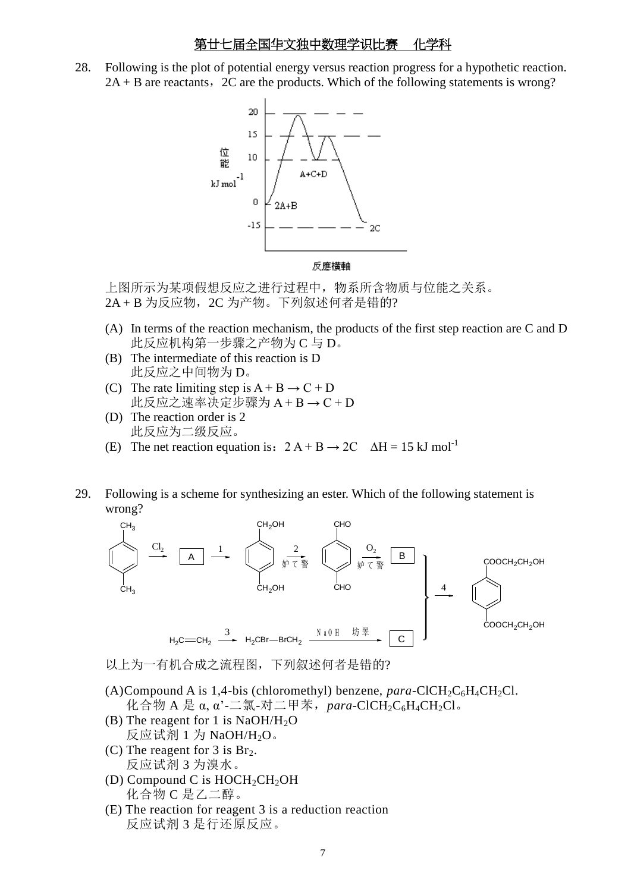28. Following is the plot of potential energy versus reaction progress for a hypothetic reaction.  $2A + B$  are reactants,  $2C$  are the products. Which of the following statements is wrong?



上图所示为某项假想反应之进行过程中,物系所含物质与位能之关系。 2A+B 为反应物, 2C 为产物。下列叙述何者是错的?

- (A) In terms of the reaction mechanism, the products of the first step reaction are C and D 此反应机构第一步骤之产物为 C 与 D。
- (B) The intermediate of this reaction is D 此反应之中间物为 D。
- (C) The rate limiting step is  $A + B \rightarrow C + D$ 此反应之速率决定步骤为 A + B → C + D
- (D) The reaction order is 2 此反应为二级反应。
- (E) The net reaction equation is:  $2A + B \rightarrow 2C \Delta H = 15 \text{ kJ mol}^{-1}$
- 29. Following is a scheme for synthesizing an ester. Which of the following statement is wrong?



以上为一有机合成之流程图,下列叙述何者是错的?

(A)Compound A is 1,4-bis (chloromethyl) benzene,  $para\text{-}CICH_2C_6H_4CH_2Cl$ .  $\mathcal{H}$ 合物 A 是  $\alpha$ ,  $\alpha$ '-二氯-对二甲苯, para-ClCH<sub>2</sub>C<sub>6</sub>H<sub>4</sub>CH<sub>2</sub>Cl。

- (B) The reagent for 1 is  $NaOH/H<sub>2</sub>O$ 反应试剂  $1$  为 NaOH/H<sub>2</sub>O。
- (C) The reagent for 3 is  $Br<sub>2</sub>$ . 反应试剂 3 为溴水。
- (D) Compound C is  $HOCH<sub>2</sub>CH<sub>2</sub>OH$ 化合物 C 是乙二醇。
- (E) The reaction for reagent 3 is a reduction reaction 反应试剂 3 是行还原反应。